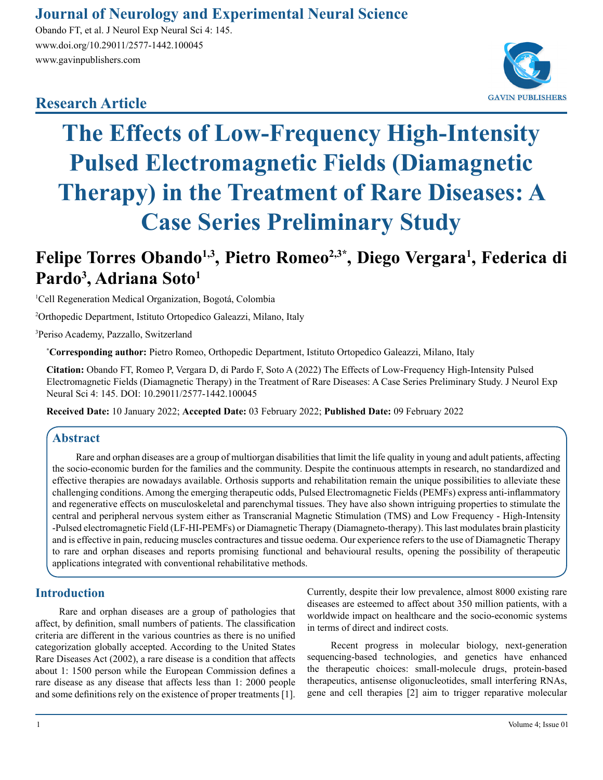# **Journal of Neurology and Experimental Neural Science**

Obando FT, et al. J Neurol Exp Neural Sci 4: 145. www.doi.org/10.29011/2577-1442.100045 www.gavinpublishers.com





# **The Effects of Low-Frequency High-Intensity Pulsed Electromagnetic Fields (Diamagnetic Therapy) in the Treatment of Rare Diseases: A Case Series Preliminary Study**

# **Felipe Torres Obando1,3, Pietro Romeo2,3\*, Diego Vergara1 , Federica di Pardo3 , Adriana Soto1**

1 Cell Regeneration Medical Organization, Bogotá, Colombia

2 Orthopedic Department, Istituto Ortopedico Galeazzi, Milano, Italy

3 Periso Academy, Pazzallo, Switzerland

**\* Corresponding author:** Pietro Romeo, Orthopedic Department, Istituto Ortopedico Galeazzi, Milano, Italy

**Citation:** Obando FT, Romeo P, Vergara D, di Pardo F, Soto A (2022) The Effects of Low-Frequency High-Intensity Pulsed Electromagnetic Fields (Diamagnetic Therapy) in the Treatment of Rare Diseases: A Case Series Preliminary Study. J Neurol Exp Neural Sci 4: 145. DOI: 10.29011/2577-1442.100045

**Received Date:** 10 January 2022; **Accepted Date:** 03 February 2022; **Published Date:** 09 February 2022

# **Abstract**

Rare and orphan diseases are a group of multiorgan disabilities that limit the life quality in young and adult patients, affecting the socio-economic burden for the families and the community. Despite the continuous attempts in research, no standardized and effective therapies are nowadays available. Orthosis supports and rehabilitation remain the unique possibilities to alleviate these challenging conditions. Among the emerging therapeutic odds, Pulsed Electromagnetic Fields (PEMFs) express anti-inflammatory and regenerative effects on musculoskeletal and parenchymal tissues. They have also shown intriguing properties to stimulate the central and peripheral nervous system either as Transcranial Magnetic Stimulation (TMS) and Low Frequency - High-Intensity -Pulsed electromagnetic Field (LF-HI-PEMFs) or Diamagnetic Therapy (Diamagneto-therapy). This last modulates brain plasticity and is effective in pain, reducing muscles contractures and tissue oedema. Our experience refers to the use of Diamagnetic Therapy to rare and orphan diseases and reports promising functional and behavioural results, opening the possibility of therapeutic applications integrated with conventional rehabilitative methods.

# **Introduction**

Rare and orphan diseases are a group of pathologies that affect, by definition, small numbers of patients. The classification criteria are different in the various countries as there is no unified categorization globally accepted. According to the United States Rare Diseases Act (2002), a rare disease is a condition that affects about 1: 1500 person while the European Commission defines a rare disease as any disease that affects less than 1: 2000 people and some definitions rely on the existence of proper treatments [1].

Currently, despite their low prevalence, almost 8000 existing rare diseases are esteemed to affect about 350 million patients, with a worldwide impact on healthcare and the socio-economic systems in terms of direct and indirect costs.

Recent progress in molecular biology, next-generation sequencing-based technologies, and genetics have enhanced the therapeutic choices: small-molecule drugs, protein-based therapeutics, antisense oligonucleotides, small interfering RNAs, gene and cell therapies [2] aim to trigger reparative molecular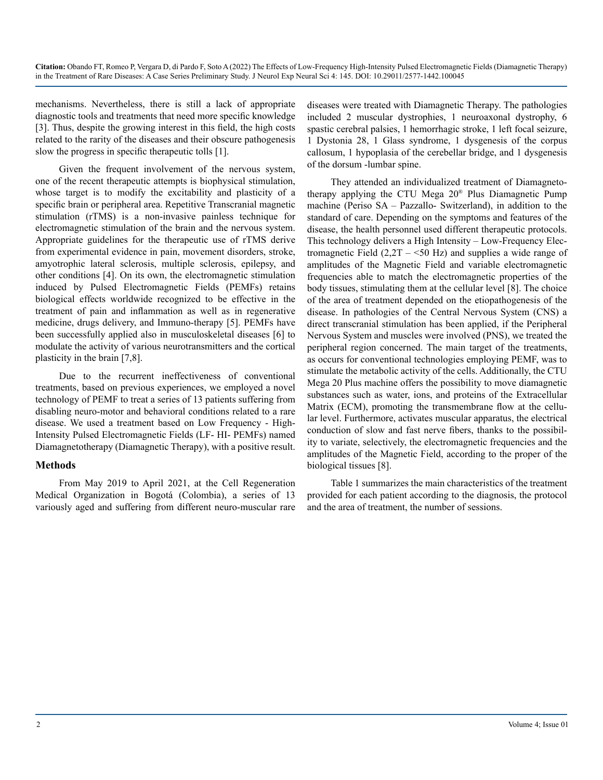mechanisms. Nevertheless, there is still a lack of appropriate diagnostic tools and treatments that need more specific knowledge [3]. Thus, despite the growing interest in this field, the high costs related to the rarity of the diseases and their obscure pathogenesis slow the progress in specific therapeutic tolls [1].

Given the frequent involvement of the nervous system, one of the recent therapeutic attempts is biophysical stimulation, whose target is to modify the excitability and plasticity of a specific brain or peripheral area. Repetitive Transcranial magnetic stimulation (rTMS) is a non-invasive painless technique for electromagnetic stimulation of the brain and the nervous system. Appropriate guidelines for the therapeutic use of rTMS derive from experimental evidence in pain, movement disorders, stroke, amyotrophic lateral sclerosis, multiple sclerosis, epilepsy, and other conditions [4]. On its own, the electromagnetic stimulation induced by Pulsed Electromagnetic Fields (PEMFs) retains biological effects worldwide recognized to be effective in the treatment of pain and inflammation as well as in regenerative medicine, drugs delivery, and Immuno-therapy [5]. PEMFs have been successfully applied also in musculoskeletal diseases [6] to modulate the activity of various neurotransmitters and the cortical plasticity in the brain [7,8].

Due to the recurrent ineffectiveness of conventional treatments, based on previous experiences, we employed a novel technology of PEMF to treat a series of 13 patients suffering from disabling neuro-motor and behavioral conditions related to a rare disease. We used a treatment based on Low Frequency - High-Intensity Pulsed Electromagnetic Fields (LF- HI- PEMFs) named Diamagnetotherapy (Diamagnetic Therapy), with a positive result.

#### **Methods**

From May 2019 to April 2021, at the Cell Regeneration Medical Organization in Bogotá (Colombia), a series of 13 variously aged and suffering from different neuro-muscular rare diseases were treated with Diamagnetic Therapy. The pathologies included 2 muscular dystrophies, 1 neuroaxonal dystrophy, 6 spastic cerebral palsies, 1 hemorrhagic stroke, 1 left focal seizure, 1 Dystonia 28, 1 Glass syndrome, 1 dysgenesis of the corpus callosum, 1 hypoplasia of the cerebellar bridge, and 1 dysgenesis of the dorsum -lumbar spine.

They attended an individualized treatment of Diamagnetotherapy applying the CTU Mega 20® Plus Diamagnetic Pump machine (Periso SA – Pazzallo- Switzerland), in addition to the standard of care. Depending on the symptoms and features of the disease, the health personnel used different therapeutic protocols. This technology delivers a High Intensity – Low-Frequency Electromagnetic Field  $(2,2T - 50$  Hz) and supplies a wide range of amplitudes of the Magnetic Field and variable electromagnetic frequencies able to match the electromagnetic properties of the body tissues, stimulating them at the cellular level [8]. The choice of the area of treatment depended on the etiopathogenesis of the disease. In pathologies of the Central Nervous System (CNS) a direct transcranial stimulation has been applied, if the Peripheral Nervous System and muscles were involved (PNS), we treated the peripheral region concerned. The main target of the treatments, as occurs for conventional technologies employing PEMF, was to stimulate the metabolic activity of the cells. Additionally, the CTU Mega 20 Plus machine offers the possibility to move diamagnetic substances such as water, ions, and proteins of the Extracellular Matrix (ECM), promoting the transmembrane flow at the cellular level. Furthermore, activates muscular apparatus, the electrical conduction of slow and fast nerve fibers, thanks to the possibility to variate, selectively, the electromagnetic frequencies and the amplitudes of the Magnetic Field, according to the proper of the biological tissues [8].

Table 1 summarizes the main characteristics of the treatment provided for each patient according to the diagnosis, the protocol and the area of treatment, the number of sessions.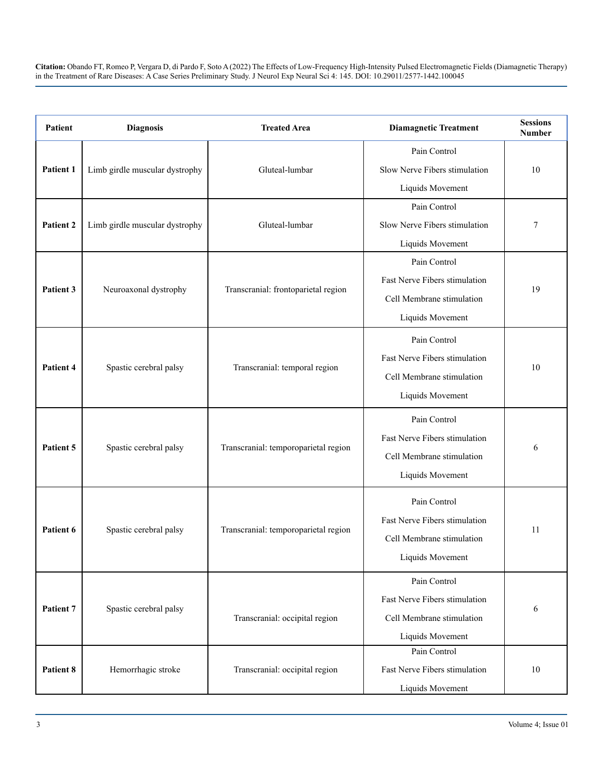| <b>Patient</b> | <b>Diagnosis</b>               | <b>Treated Area</b>                  | <b>Diamagnetic Treatment</b>                                                                   | <b>Sessions</b><br><b>Number</b> |
|----------------|--------------------------------|--------------------------------------|------------------------------------------------------------------------------------------------|----------------------------------|
| Patient 1      | Limb girdle muscular dystrophy | Gluteal-lumbar                       | Pain Control<br>Slow Nerve Fibers stimulation<br>Liquids Movement                              | 10                               |
| Patient 2      | Limb girdle muscular dystrophy | Gluteal-lumbar                       | Pain Control<br>Slow Nerve Fibers stimulation<br>Liquids Movement                              | $\boldsymbol{7}$                 |
| Patient 3      | Neuroaxonal dystrophy          | Transcranial: frontoparietal region  | Pain Control<br>Fast Nerve Fibers stimulation<br>Cell Membrane stimulation<br>Liquids Movement | 19                               |
| Patient 4      | Spastic cerebral palsy         | Transcranial: temporal region        | Pain Control<br>Fast Nerve Fibers stimulation<br>Cell Membrane stimulation<br>Liquids Movement | 10                               |
| Patient 5      | Spastic cerebral palsy         | Transcranial: temporoparietal region | Pain Control<br>Fast Nerve Fibers stimulation<br>Cell Membrane stimulation<br>Liquids Movement | 6                                |
| Patient 6      | Spastic cerebral palsy         | Transcranial: temporoparietal region | Pain Control<br>Fast Nerve Fibers stimulation<br>Cell Membrane stimulation<br>Liquids Movement | 11                               |
| Patient 7      | Spastic cerebral palsy         | Transcranial: occipital region       | Pain Control<br>Fast Nerve Fibers stimulation<br>Cell Membrane stimulation<br>Liquids Movement | 6                                |
| Patient 8      | Hemorrhagic stroke             | Transcranial: occipital region       | Pain Control<br>Fast Nerve Fibers stimulation<br>Liquids Movement                              | 10                               |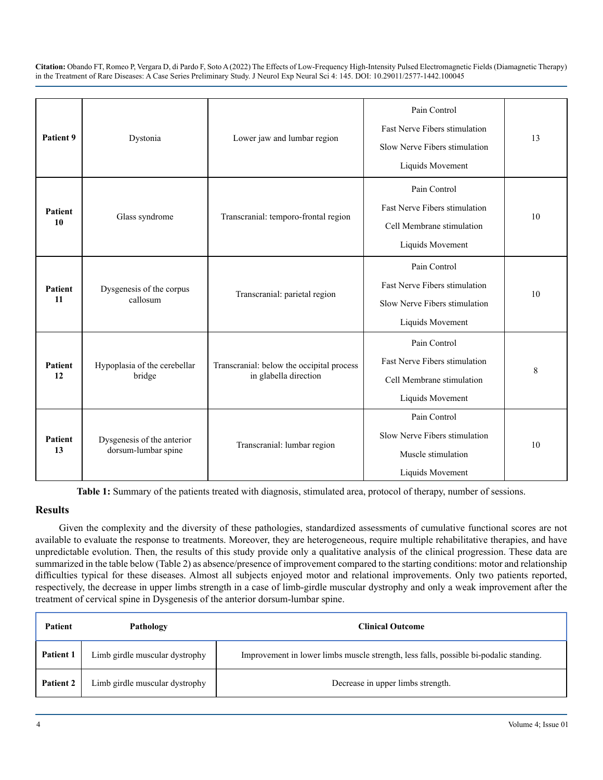| Patient 9            | Dystonia                                          | Lower jaw and lumbar region                                        | Pain Control<br>Fast Nerve Fibers stimulation<br>Slow Nerve Fibers stimulation<br>Liquids Movement | 13 |
|----------------------|---------------------------------------------------|--------------------------------------------------------------------|----------------------------------------------------------------------------------------------------|----|
| Patient<br>10        | Glass syndrome                                    | Transcranial: temporo-frontal region                               | Pain Control<br>Fast Nerve Fibers stimulation<br>Cell Membrane stimulation<br>Liquids Movement     | 10 |
| Patient<br>11        | Dysgenesis of the corpus<br>callosum              | Transcranial: parietal region                                      | Pain Control<br>Fast Nerve Fibers stimulation<br>Slow Nerve Fibers stimulation<br>Liquids Movement | 10 |
| Patient<br>12        | Hypoplasia of the cerebellar<br>bridge            | Transcranial: below the occipital process<br>in glabella direction | Pain Control<br>Fast Nerve Fibers stimulation<br>Cell Membrane stimulation<br>Liquids Movement     | 8  |
| <b>Patient</b><br>13 | Dysgenesis of the anterior<br>dorsum-lumbar spine | Transcranial: lumbar region                                        | Pain Control<br>Slow Nerve Fibers stimulation<br>Muscle stimulation<br>Liquids Movement            | 10 |

**Table 1:** Summary of the patients treated with diagnosis, stimulated area, protocol of therapy, number of sessions.

#### **Results**

Given the complexity and the diversity of these pathologies, standardized assessments of cumulative functional scores are not available to evaluate the response to treatments. Moreover, they are heterogeneous, require multiple rehabilitative therapies, and have unpredictable evolution. Then, the results of this study provide only a qualitative analysis of the clinical progression. These data are summarized in the table below (Table 2) as absence/presence of improvement compared to the starting conditions: motor and relationship difficulties typical for these diseases. Almost all subjects enjoyed motor and relational improvements. Only two patients reported, respectively, the decrease in upper limbs strength in a case of limb-girdle muscular dystrophy and only a weak improvement after the treatment of cervical spine in Dysgenesis of the anterior dorsum-lumbar spine.

| Patient   | Pathology                      | <b>Clinical Outcome</b>                                                               |
|-----------|--------------------------------|---------------------------------------------------------------------------------------|
| Patient 1 | Limb girdle muscular dystrophy | Improvement in lower limbs muscle strength, less falls, possible bi-podalic standing. |
| Patient 2 | Limb girdle muscular dystrophy | Decrease in upper limbs strength.                                                     |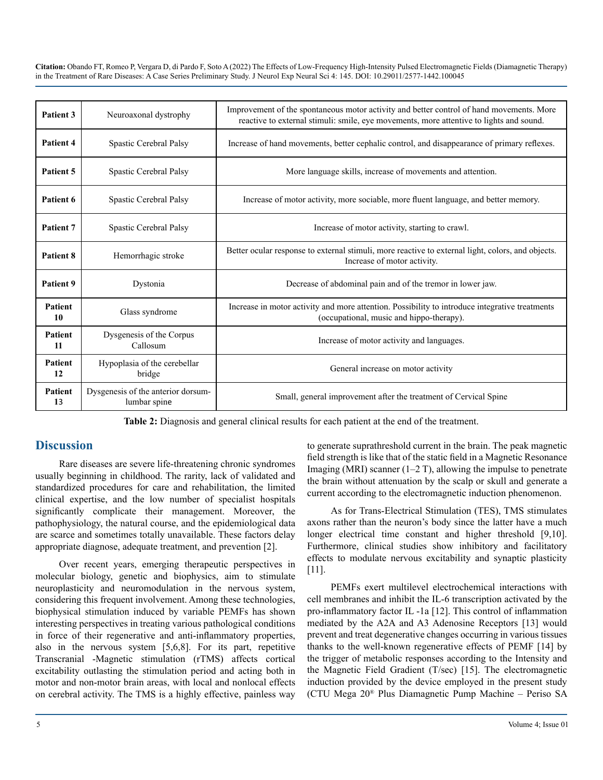| Patient 3            | Neuroaxonal dystrophy                              | Improvement of the spontaneous motor activity and better control of hand movements. More<br>reactive to external stimuli: smile, eye movements, more attentive to lights and sound. |
|----------------------|----------------------------------------------------|-------------------------------------------------------------------------------------------------------------------------------------------------------------------------------------|
| Patient 4            | Spastic Cerebral Palsy                             | Increase of hand movements, better cephalic control, and disappearance of primary reflexes.                                                                                         |
| Patient 5            | <b>Spastic Cerebral Palsy</b>                      | More language skills, increase of movements and attention.                                                                                                                          |
| Patient 6            | Spastic Cerebral Palsy                             | Increase of motor activity, more sociable, more fluent language, and better memory.                                                                                                 |
| Patient 7            | <b>Spastic Cerebral Palsy</b>                      | Increase of motor activity, starting to crawl.                                                                                                                                      |
| Patient 8            | Hemorrhagic stroke                                 | Better ocular response to external stimuli, more reactive to external light, colors, and objects.<br>Increase of motor activity.                                                    |
| Patient 9            | Dystonia                                           | Decrease of abdominal pain and of the tremor in lower jaw.                                                                                                                          |
| Patient<br>10        | Glass syndrome                                     | Increase in motor activity and more attention. Possibility to introduce integrative treatments<br>(occupational, music and hippo-therapy).                                          |
| <b>Patient</b><br>11 | Dysgenesis of the Corpus<br>Callosum               | Increase of motor activity and languages.                                                                                                                                           |
| <b>Patient</b><br>12 | Hypoplasia of the cerebellar<br>bridge             | General increase on motor activity                                                                                                                                                  |
| <b>Patient</b><br>13 | Dysgenesis of the anterior dorsum-<br>lumbar spine | Small, general improvement after the treatment of Cervical Spine                                                                                                                    |

**Table 2:** Diagnosis and general clinical results for each patient at the end of the treatment.

# **Discussion**

Rare diseases are severe life-threatening chronic syndromes usually beginning in childhood. The rarity, lack of validated and standardized procedures for care and rehabilitation, the limited clinical expertise, and the low number of specialist hospitals significantly complicate their management. Moreover, the pathophysiology, the natural course, and the epidemiological data are scarce and sometimes totally unavailable. These factors delay appropriate diagnose, adequate treatment, and prevention [2].

Over recent years, emerging therapeutic perspectives in molecular biology, genetic and biophysics, aim to stimulate neuroplasticity and neuromodulation in the nervous system, considering this frequent involvement. Among these technologies, biophysical stimulation induced by variable PEMFs has shown interesting perspectives in treating various pathological conditions in force of their regenerative and anti-inflammatory properties, also in the nervous system [5,6,8]. For its part, repetitive Transcranial -Magnetic stimulation (rTMS) affects cortical excitability outlasting the stimulation period and acting both in motor and non-motor brain areas, with local and nonlocal effects on cerebral activity. The TMS is a highly effective, painless way

to generate suprathreshold current in the brain. The peak magnetic field strength is like that of the static field in a Magnetic Resonance Imaging (MRI) scanner  $(1-2)$ , allowing the impulse to penetrate the brain without attenuation by the scalp or skull and generate a current according to the electromagnetic induction phenomenon.

As for Trans-Electrical Stimulation (TES), TMS stimulates axons rather than the neuron's body since the latter have a much longer electrical time constant and higher threshold [9,10]. Furthermore, clinical studies show inhibitory and facilitatory effects to modulate nervous excitability and synaptic plasticity [11].

PEMFs exert multilevel electrochemical interactions with cell membranes and inhibit the IL-6 transcription activated by the pro-inflammatory factor IL -1a [12]. This control of inflammation mediated by the A2A and A3 Adenosine Receptors [13] would prevent and treat degenerative changes occurring in various tissues thanks to the well-known regenerative effects of PEMF [14] by the trigger of metabolic responses according to the Intensity and the Magnetic Field Gradient (T/sec) [15]. The electromagnetic induction provided by the device employed in the present study (CTU Mega 20® Plus Diamagnetic Pump Machine – Periso SA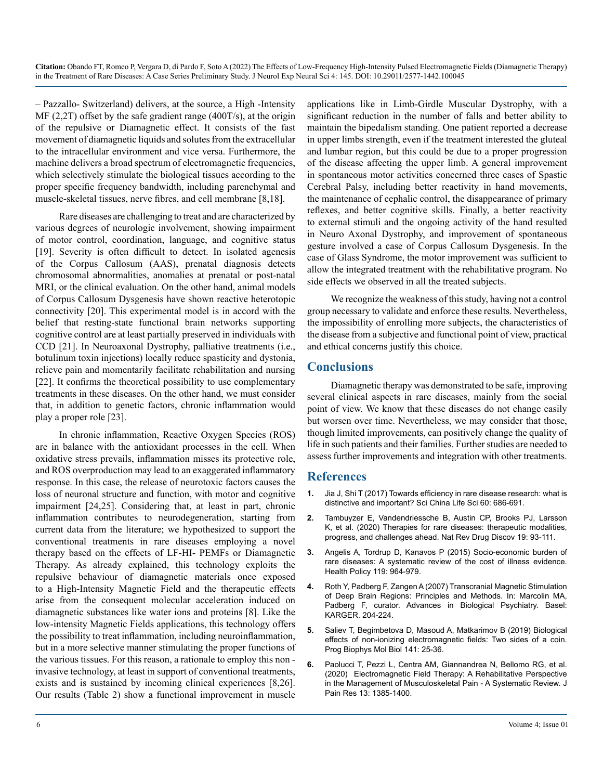– Pazzallo- Switzerland) delivers, at the source, a High -Intensity MF (2,2T) offset by the safe gradient range (400T/s), at the origin of the repulsive or Diamagnetic effect. It consists of the fast movement of diamagnetic liquids and solutes from the extracellular to the intracellular environment and vice versa. Furthermore, the machine delivers a broad spectrum of electromagnetic frequencies, which selectively stimulate the biological tissues according to the proper specific frequency bandwidth, including parenchymal and muscle-skeletal tissues, nerve fibres, and cell membrane [8,18].

Rare diseases are challenging to treat and are characterized by various degrees of neurologic involvement, showing impairment of motor control, coordination, language, and cognitive status [19]. Severity is often difficult to detect. In isolated agenesis of the Corpus Callosum (AAS), prenatal diagnosis detects chromosomal abnormalities, anomalies at prenatal or post-natal MRI, or the clinical evaluation. On the other hand, animal models of Corpus Callosum Dysgenesis have shown reactive heterotopic connectivity [20]. This experimental model is in accord with the belief that resting-state functional brain networks supporting cognitive control are at least partially preserved in individuals with CCD [21]. In Neuroaxonal Dystrophy, palliative treatments (i.e., botulinum toxin injections) locally reduce spasticity and dystonia, relieve pain and momentarily facilitate rehabilitation and nursing [22]. It confirms the theoretical possibility to use complementary treatments in these diseases. On the other hand, we must consider that, in addition to genetic factors, chronic inflammation would play a proper role [23].

In chronic inflammation, Reactive Oxygen Species (ROS) are in balance with the antioxidant processes in the cell. When oxidative stress prevails, inflammation misses its protective role, and ROS overproduction may lead to an exaggerated inflammatory response. In this case, the release of neurotoxic factors causes the loss of neuronal structure and function, with motor and cognitive impairment [24,25]. Considering that, at least in part, chronic inflammation contributes to neurodegeneration, starting from current data from the literature; we hypothesized to support the conventional treatments in rare diseases employing a novel therapy based on the effects of LF-HI- PEMFs or Diamagnetic Therapy. As already explained, this technology exploits the repulsive behaviour of diamagnetic materials once exposed to a High-Intensity Magnetic Field and the therapeutic effects arise from the consequent molecular acceleration induced on diamagnetic substances like water ions and proteins [8]. Like the low-intensity Magnetic Fields applications, this technology offers the possibility to treat inflammation, including neuroinflammation, but in a more selective manner stimulating the proper functions of the various tissues. For this reason, a rationale to employ this non invasive technology, at least in support of conventional treatments, exists and is sustained by incoming clinical experiences [8,26]. Our results (Table 2) show a functional improvement in muscle

applications like in Limb-Girdle Muscular Dystrophy, with a significant reduction in the number of falls and better ability to maintain the bipedalism standing. One patient reported a decrease in upper limbs strength, even if the treatment interested the gluteal and lumbar region, but this could be due to a proper progression of the disease affecting the upper limb. A general improvement in spontaneous motor activities concerned three cases of Spastic Cerebral Palsy, including better reactivity in hand movements, the maintenance of cephalic control, the disappearance of primary reflexes, and better cognitive skills. Finally, a better reactivity to external stimuli and the ongoing activity of the hand resulted in Neuro Axonal Dystrophy, and improvement of spontaneous gesture involved a case of Corpus Callosum Dysgenesis. In the case of Glass Syndrome, the motor improvement was sufficient to allow the integrated treatment with the rehabilitative program. No side effects we observed in all the treated subjects.

We recognize the weakness of this study, having not a control group necessary to validate and enforce these results. Nevertheless, the impossibility of enrolling more subjects, the characteristics of the disease from a subjective and functional point of view, practical and ethical concerns justify this choice.

# **Conclusions**

Diamagnetic therapy was demonstrated to be safe, improving several clinical aspects in rare diseases, mainly from the social point of view. We know that these diseases do not change easily but worsen over time. Nevertheless, we may consider that those, though limited improvements, can positively change the quality of life in such patients and their families. Further studies are needed to assess further improvements and integration with other treatments.

# **References**

- **1.** [Jia J, Shi T \(2017\) Towards efficiency in rare disease research: what is](https://pubmed.ncbi.nlm.nih.gov/28639105/)  [distinctive and important? Sci China Life Sci 60: 686-691.](https://pubmed.ncbi.nlm.nih.gov/28639105/)
- **2.** [Tambuyzer E, Vandendriessche B, Austin CP, Brooks PJ, Larsson](https://pubmed.ncbi.nlm.nih.gov/31836861/)  [K, et al. \(2020\) Therapies for rare diseases: therapeutic modalities,](https://pubmed.ncbi.nlm.nih.gov/31836861/)  [progress, and challenges ahead. Nat Rev Drug Discov 19: 93-111.](https://pubmed.ncbi.nlm.nih.gov/31836861/)
- **3.** [Angelis A, Tordrup D, Kanavos P \(2015\) Socio-economic burden of](https://pubmed.ncbi.nlm.nih.gov/25661982/)  [rare diseases: A systematic review of the cost of illness evidence.](https://pubmed.ncbi.nlm.nih.gov/25661982/)  [Health Policy 119: 964-979.](https://pubmed.ncbi.nlm.nih.gov/25661982/)
- **4.** [Roth Y, Padberg F, Zangen A \(2007\) Transcranial Magnetic Stimulation](https://www.karger.com/Article/Pdf/101039)  [of Deep Brain Regions: Principles and Methods. In: Marcolin MA,](https://www.karger.com/Article/Pdf/101039)  [Padberg F, curator. Advances in Biological Psychiatry. Basel:](https://www.karger.com/Article/Pdf/101039)  [KARGER. 204-224.](https://www.karger.com/Article/Pdf/101039)
- **5.** [Saliev T, Begimbetova D, Masoud A, Matkarimov B \(2019\) Biological](https://pubmed.ncbi.nlm.nih.gov/30030071/)  [effects of non-ionizing electromagnetic fields: Two sides of a coin.](https://pubmed.ncbi.nlm.nih.gov/30030071/)  [Prog Biophys Mol Biol 141: 25-36.](https://pubmed.ncbi.nlm.nih.gov/30030071/)
- **6.** [Paolucci T, Pezzi L, Centra AM, Giannandrea N, Bellomo RG, et al.](https://pubmed.ncbi.nlm.nih.gov/32606905/)  [\(2020\) Electromagnetic Field Therapy: A Rehabilitative Perspective](https://pubmed.ncbi.nlm.nih.gov/32606905/)  [in the Management of Musculoskeletal Pain - A Systematic Review. J](https://pubmed.ncbi.nlm.nih.gov/32606905/)  [Pain Res 13: 1385-1400.](https://pubmed.ncbi.nlm.nih.gov/32606905/)